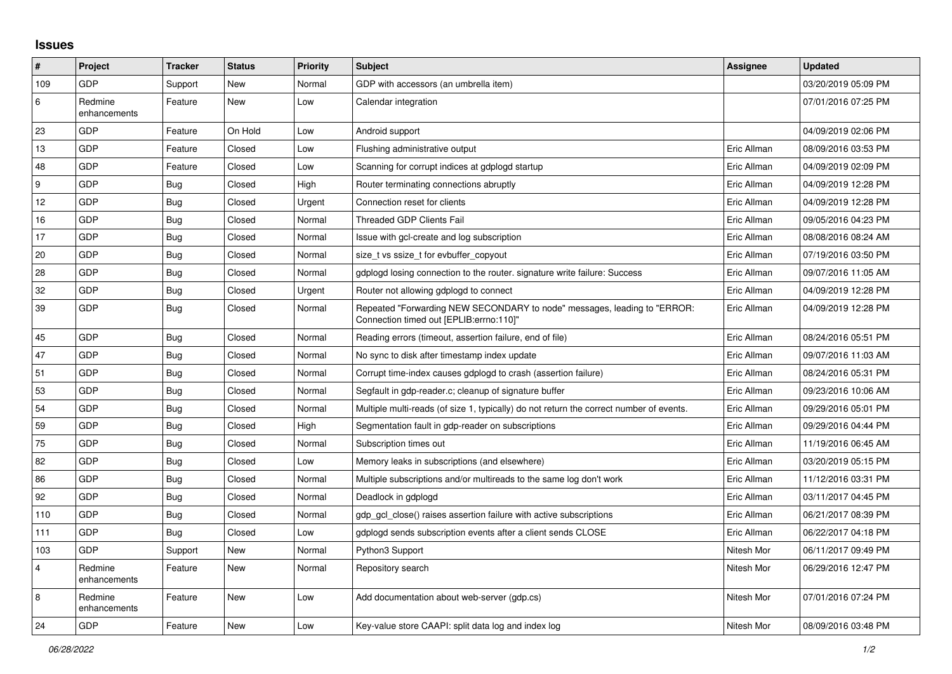## **Issues**

| #                | Project                 | <b>Tracker</b> | <b>Status</b> | <b>Priority</b> | <b>Subject</b>                                                                                                      | Assignee    | <b>Updated</b>      |
|------------------|-------------------------|----------------|---------------|-----------------|---------------------------------------------------------------------------------------------------------------------|-------------|---------------------|
| 109              | GDP                     | Support        | New           | Normal          | GDP with accessors (an umbrella item)                                                                               |             | 03/20/2019 05:09 PM |
| 6                | Redmine<br>enhancements | Feature        | <b>New</b>    | Low             | Calendar integration                                                                                                |             | 07/01/2016 07:25 PM |
| 23               | GDP                     | Feature        | On Hold       | Low             | Android support                                                                                                     |             | 04/09/2019 02:06 PM |
| 13               | <b>GDP</b>              | Feature        | Closed        | Low             | Flushing administrative output                                                                                      | Eric Allman | 08/09/2016 03:53 PM |
| 48               | GDP                     | Feature        | Closed        | Low             | Scanning for corrupt indices at gdplogd startup                                                                     | Eric Allman | 04/09/2019 02:09 PM |
| $\boldsymbol{9}$ | <b>GDP</b>              | <b>Bug</b>     | Closed        | High            | Router terminating connections abruptly                                                                             | Eric Allman | 04/09/2019 12:28 PM |
| 12               | GDP                     | <b>Bug</b>     | Closed        | Urgent          | Connection reset for clients                                                                                        | Eric Allman | 04/09/2019 12:28 PM |
| 16               | GDP                     | <b>Bug</b>     | Closed        | Normal          | <b>Threaded GDP Clients Fail</b>                                                                                    | Eric Allman | 09/05/2016 04:23 PM |
| 17               | <b>GDP</b>              | Bug            | Closed        | Normal          | Issue with gcl-create and log subscription                                                                          | Eric Allman | 08/08/2016 08:24 AM |
| 20               | GDP                     | <b>Bug</b>     | Closed        | Normal          | size t vs ssize t for evbuffer copyout                                                                              | Eric Allman | 07/19/2016 03:50 PM |
| 28               | GDP                     | <b>Bug</b>     | Closed        | Normal          | gdplogd losing connection to the router, signature write failure: Success                                           | Eric Allman | 09/07/2016 11:05 AM |
| 32               | <b>GDP</b>              | <b>Bug</b>     | Closed        | Urgent          | Router not allowing gdplogd to connect                                                                              | Eric Allman | 04/09/2019 12:28 PM |
| 39               | GDP                     | Bug            | Closed        | Normal          | Repeated "Forwarding NEW SECONDARY to node" messages, leading to "ERROR:<br>Connection timed out [EPLIB:errno:110]" | Eric Allman | 04/09/2019 12:28 PM |
| 45               | <b>GDP</b>              | <b>Bug</b>     | Closed        | Normal          | Reading errors (timeout, assertion failure, end of file)                                                            | Eric Allman | 08/24/2016 05:51 PM |
| 47               | GDP                     | <b>Bug</b>     | Closed        | Normal          | No sync to disk after timestamp index update                                                                        | Eric Allman | 09/07/2016 11:03 AM |
| 51               | GDP                     | <b>Bug</b>     | Closed        | Normal          | Corrupt time-index causes gdplogd to crash (assertion failure)                                                      | Eric Allman | 08/24/2016 05:31 PM |
| 53               | GDP                     | <b>Bug</b>     | Closed        | Normal          | Segfault in gdp-reader.c; cleanup of signature buffer                                                               | Eric Allman | 09/23/2016 10:06 AM |
| 54               | <b>GDP</b>              | <b>Bug</b>     | Closed        | Normal          | Multiple multi-reads (of size 1, typically) do not return the correct number of events.                             | Eric Allman | 09/29/2016 05:01 PM |
| 59               | GDP                     | Bug            | Closed        | High            | Segmentation fault in gdp-reader on subscriptions                                                                   | Eric Allman | 09/29/2016 04:44 PM |
| 75               | GDP                     | Bug            | Closed        | Normal          | Subscription times out                                                                                              | Eric Allman | 11/19/2016 06:45 AM |
| 82               | <b>GDP</b>              | <b>Bug</b>     | Closed        | Low             | Memory leaks in subscriptions (and elsewhere)                                                                       | Eric Allman | 03/20/2019 05:15 PM |
| 86               | GDP                     | <b>Bug</b>     | Closed        | Normal          | Multiple subscriptions and/or multireads to the same log don't work                                                 | Eric Allman | 11/12/2016 03:31 PM |
| 92               | GDP                     | Bug            | Closed        | Normal          | Deadlock in gdplogd                                                                                                 | Eric Allman | 03/11/2017 04:45 PM |
| 110              | <b>GDP</b>              | Bug            | Closed        | Normal          | gdp gcl close() raises assertion failure with active subscriptions                                                  | Eric Allman | 06/21/2017 08:39 PM |
| 111              | GDP                     | <b>Bug</b>     | Closed        | Low             | gdplogd sends subscription events after a client sends CLOSE                                                        | Eric Allman | 06/22/2017 04:18 PM |
| 103              | <b>GDP</b>              | Support        | New           | Normal          | Python3 Support                                                                                                     | Nitesh Mor  | 06/11/2017 09:49 PM |
| 4                | Redmine<br>enhancements | Feature        | New           | Normal          | Repository search                                                                                                   | Nitesh Mor  | 06/29/2016 12:47 PM |
| $\,8\,$          | Redmine<br>enhancements | Feature        | New           | Low             | Add documentation about web-server (gdp.cs)                                                                         | Nitesh Mor  | 07/01/2016 07:24 PM |
| 24               | GDP                     | Feature        | New           | Low             | Key-value store CAAPI: split data log and index log                                                                 | Nitesh Mor  | 08/09/2016 03:48 PM |